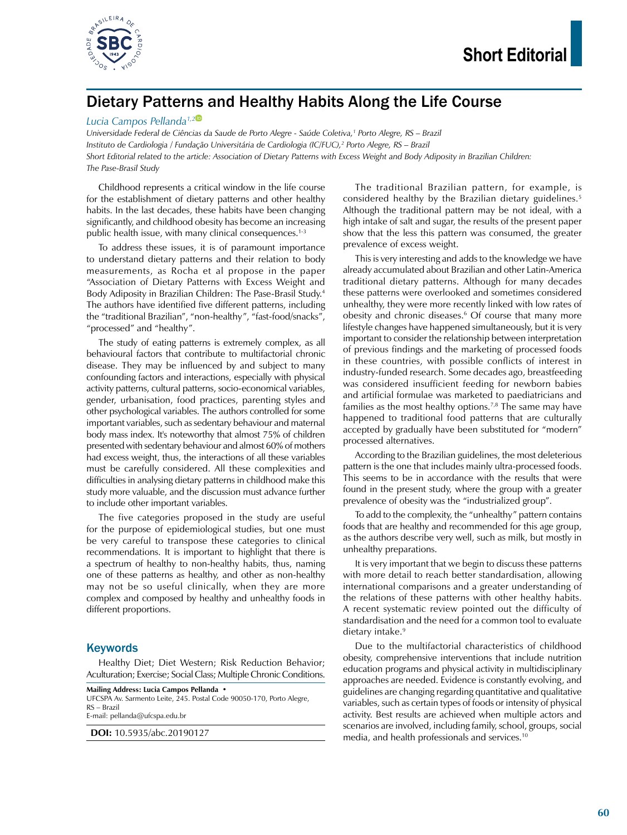

# Dietary Patterns and Healthy Habits Along the Life Course

#### *Lucia Campos Pellanda1,[2](https://orcid.org/0000-0002-4593-3416)*

*Universidade Federal de Ciências da Saude de Porto Alegre - Saúde Coletiva,1 Porto Alegre, RS – Brazil Instituto de Cardiologia / Fundação Universitária de Cardiologia (IC/FUC),2 Porto Alegre, RS – Brazil Short Editorial related to the article: Association of Dietary Patterns with Excess Weight and Body Adiposity in Brazilian Children: The Pase-Brasil Study*

Childhood represents a critical window in the life course for the establishment of dietary patterns and other healthy habits. In the last decades, these habits have been changing significantly, and childhood obesity has become an increasing public health issue, with many clinical consequences.1-3

To address these issues, it is of paramount importance to understand dietary patterns and their relation to body measurements, as Rocha et al propose in the paper "Association of Dietary Patterns with Excess Weight and Body Adiposity in Brazilian Children: The Pase-Brasil Study.4 The authors have identified five different patterns, including the "traditional Brazilian", "non-healthy", "fast-food/snacks", "processed" and "healthy".

The study of eating patterns is extremely complex, as all behavioural factors that contribute to multifactorial chronic disease. They may be influenced by and subject to many confounding factors and interactions, especially with physical activity patterns, cultural patterns, socio-economical variables, gender, urbanisation, food practices, parenting styles and other psychological variables. The authors controlled for some important variables, such as sedentary behaviour and maternal body mass index. It's noteworthy that almost 75% of children presented with sedentary behaviour and almost 60% of mothers had excess weight, thus, the interactions of all these variables must be carefully considered. All these complexities and difficulties in analysing dietary patterns in childhood make this study more valuable, and the discussion must advance further to include other important variables.

The five categories proposed in the study are useful for the purpose of epidemiological studies, but one must be very careful to transpose these categories to clinical recommendations. It is important to highlight that there is a spectrum of healthy to non-healthy habits, thus, naming one of these patterns as healthy, and other as non-healthy may not be so useful clinically, when they are more complex and composed by healthy and unhealthy foods in different proportions.

### Keywords

Healthy Diet; Diet Western; Risk Reduction Behavior; Aculturation; Exercise; Social Class; Multiple Chronic Conditions.

**Mailing Address: Lucia Campos Pellanda •** UFCSPA Av. Sarmento Leite, 245. Postal Code 90050-170, Porto Alegre, RS – Brazil E-mail: pellanda@ufcspa.edu.br

**DOI:** 10.5935/abc.20190127

The traditional Brazilian pattern, for example, is considered healthy by the Brazilian dietary guidelines.<sup>5</sup> Although the traditional pattern may be not ideal, with a high intake of salt and sugar, the results of the present paper show that the less this pattern was consumed, the greater prevalence of excess weight.

This is very interesting and adds to the knowledge we have already accumulated about Brazilian and other Latin-America traditional dietary patterns. Although for many decades these patterns were overlooked and sometimes considered unhealthy, they were more recently linked with low rates of obesity and chronic diseases.<sup>6</sup> Of course that many more lifestyle changes have happened simultaneously, but it is very important to consider the relationship between interpretation of previous findings and the marketing of processed foods in these countries, with possible conflicts of interest in industry-funded research. Some decades ago, breastfeeding was considered insufficient feeding for newborn babies and artificial formulae was marketed to paediatricians and families as the most healthy options.7,8 The same may have happened to traditional food patterns that are culturally accepted by gradually have been substituted for "modern" processed alternatives.

According to the Brazilian guidelines, the most deleterious pattern is the one that includes mainly ultra-processed foods. This seems to be in accordance with the results that were found in the present study, where the group with a greater prevalence of obesity was the "industrialized group".

To add to the complexity, the "unhealthy" pattern contains foods that are healthy and recommended for this age group, as the authors describe very well, such as milk, but mostly in unhealthy preparations.

It is very important that we begin to discuss these patterns with more detail to reach better standardisation, allowing international comparisons and a greater understanding of the relations of these patterns with other healthy habits. A recent systematic review pointed out the difficulty of standardisation and the need for a common tool to evaluate dietary intake.<sup>9</sup>

Due to the multifactorial characteristics of childhood obesity, comprehensive interventions that include nutrition education programs and physical activity in multidisciplinary approaches are needed. Evidence is constantly evolving, and guidelines are changing regarding quantitative and qualitative variables, such as certain types of foods or intensity of physical activity. Best results are achieved when multiple actors and scenarios are involved, including family, school, groups, social media, and health professionals and services.10